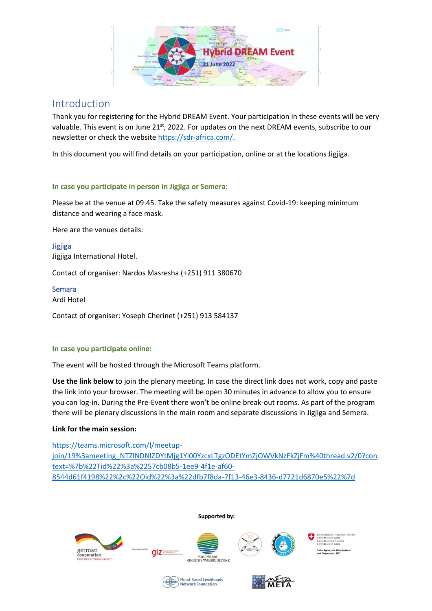

## Introduction

Thank you for registering for the Hybrid DREAM Event. Your participation in these events will be very valuable. This event is on June 21<sup>st</sup>, 2022. For updates on the next DREAM events, subscribe to our newsletter or check the website [https://sdr-africa.com/.](https://sdr-africa.com/)

In this document you will find details on your participation, online or at the locations Jigjiga.

### **In case you participate in person in Jigjiga or Semera:**

Please be at the venue at 09:45. Take the safety measures against Covid-19: keeping minimum distance and wearing a face mask.

Here are the venues details:

Jigjiga Jigjiga International Hotel.

Contact of organiser: Nardos Masresha (+251) 911 380670

Semara Ardi Hotel

Contact of organiser: Yoseph Cherinet (+251) 913 584137

### **In case you participate online:**

The event will be hosted through the Microsoft Teams platform.

**Use the link below** to join the plenary meeting. In case the direct link does not work, copy and paste the link into your browser. The meeting will be open 30 minutes in advance to allow you to ensure you can log-in. During the Pre-Event there won't be online break-out rooms. As part of the program there will be plenary discussions in the main room and separate discussions in Jigjiga and Semera.

### **Link for the main session:**

[https://teams.microsoft.com/l/meetup](https://teams.microsoft.com/l/meetup-join/19%3ameeting_NTZlNDNlZDYtMjg1Yi00YzcxLTgzODEtYmZjOWVkNzFkZjFm%40thread.v2/0?context=%7b%22Tid%22%3a%2257cb08b5-1ee9-4f1e-af60-8544d61f4198%22%2c%22Oid%22%3a%22dfb7f8da-7f13-46e3-8436-d7721d6870e5%22%7d)[join/19%3ameeting\\_NTZlNDNlZDYtMjg1Yi00YzcxLTgzODEtYmZjOWVkNzFkZjFm%40thread.v2/0?con](https://teams.microsoft.com/l/meetup-join/19%3ameeting_NTZlNDNlZDYtMjg1Yi00YzcxLTgzODEtYmZjOWVkNzFkZjFm%40thread.v2/0?context=%7b%22Tid%22%3a%2257cb08b5-1ee9-4f1e-af60-8544d61f4198%22%2c%22Oid%22%3a%22dfb7f8da-7f13-46e3-8436-d7721d6870e5%22%7d) [text=%7b%22Tid%22%3a%2257cb08b5-1ee9-4f1e-af60-](https://teams.microsoft.com/l/meetup-join/19%3ameeting_NTZlNDNlZDYtMjg1Yi00YzcxLTgzODEtYmZjOWVkNzFkZjFm%40thread.v2/0?context=%7b%22Tid%22%3a%2257cb08b5-1ee9-4f1e-af60-8544d61f4198%22%2c%22Oid%22%3a%22dfb7f8da-7f13-46e3-8436-d7721d6870e5%22%7d) [8544d61f4198%22%2c%22Oid%22%3a%22dfb7f8da-7f13-46e3-8436-d7721d6870e5%22%7d](https://teams.microsoft.com/l/meetup-join/19%3ameeting_NTZlNDNlZDYtMjg1Yi00YzcxLTgzODEtYmZjOWVkNzFkZjFm%40thread.v2/0?context=%7b%22Tid%22%3a%2257cb08b5-1ee9-4f1e-af60-8544d61f4198%22%2c%22Oid%22%3a%22dfb7f8da-7f13-46e3-8436-d7721d6870e5%22%7d)

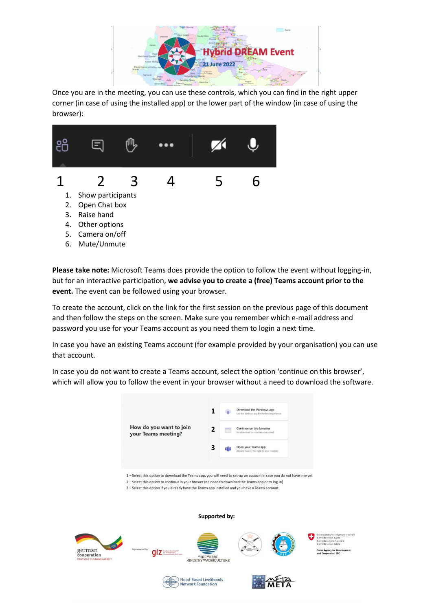

Once you are in the meeting, you can use these controls, which you can find in the right upper corner (in case of using the installed app) or the lower part of the window (in case of using the browser):



**Please take note:** Microsoft Teams does provide the option to follow the event without logging-in, but for an interactive participation, **we advise you to create a (free) Teams account prior to the event.** The event can be followed using your browser.

To create the account, click on the link for the first session on the previous page of this document and then follow the steps on the screen. Make sure you remember which e-mail address and password you use for your Teams account as you need them to login a next time.

In case you have an existing Teams account (for example provided by your organisation) you can use that account.

In case you do not want to create a Teams account, select the option 'continue on this browser', which will allow you to follow the event in your browser without a need to download the software.